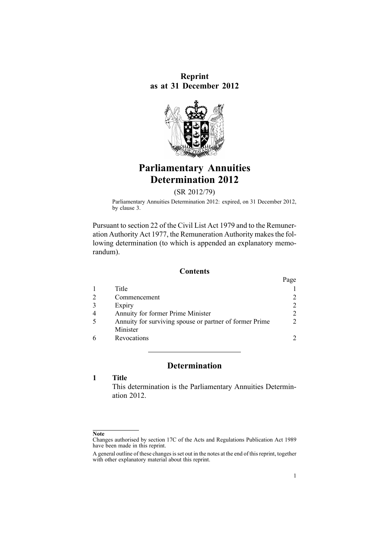**Reprint as at 31 December 2012**



# **Parliamentary Annuities Determination 2012**

(SR 2012/79)

Parliamentary Annuities Determination 2012: expired, on 31 December 2012, by [clause](#page-1-0) 3.

Pursuant to [section](http://www.legislation.govt.nz/pdflink.aspx?id=DLM32435) 22 of the Civil List Act 1979 and to the [Remune](http://www.legislation.govt.nz/pdflink.aspx?id=DLM15636)r-ation [Authority](http://www.legislation.govt.nz/pdflink.aspx?id=DLM15636) Act 1977, the Remuneration Authority makes the following determination (to which is appended an explanatory memorandum).

# **Contents**

|                                                         | Page |
|---------------------------------------------------------|------|
| Title                                                   |      |
| Commencement                                            |      |
| Expiry                                                  |      |
| Annuity for former Prime Minister                       |      |
| Annuity for surviving spouse or partner of former Prime |      |
| Minister                                                |      |
| Revocations                                             |      |

# **Determination**

# **1 Title**

This determination is the Parliamentary Annuities Determination 2012.

# **Note**

Changes authorised by [section](http://www.legislation.govt.nz/pdflink.aspx?id=DLM195466) 17C of the Acts and Regulations Publication Act 1989 have been made in this reprint.

A general outline of these changes is set out in the notes at the end of this reprint, together with other explanatory material about this reprint.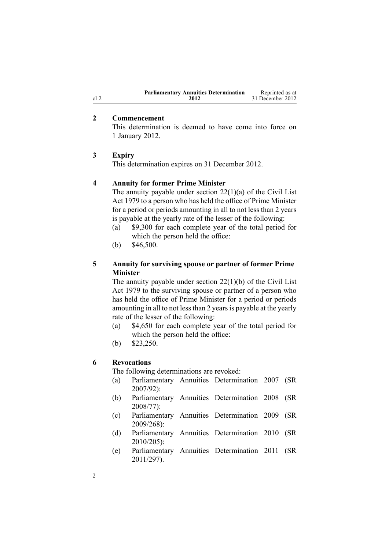| <b>Parliamentary Annuities Determination</b> | Reprinted as at  |
|----------------------------------------------|------------------|
| 2012                                         | 31 December 2012 |

#### **2 Commencement**

This determination is deemed to have come into force on 1 January 2012.

# **3 Expiry**

This determination expires on 31 December 2012.

# **4 Annuity for former Prime Minister**

The annuity payable under section  $22(1)(a)$  of the Civil List Act 1979 to <sup>a</sup> person who has held the office of Prime Minister for <sup>a</sup> period or periods amounting in all to not less than 2 years is payable at the yearly rate of the lesser of the following:

- (a) \$9,300 for each complete year of the total period for which the person held the office:
- (b) \$46,500.

# **5 Annuity for surviving spouse or partner of former Prime Minister**

The annuity payable under section  $22(1)(b)$  of the Civil List Act 1979 to the surviving spouse or partner of <sup>a</sup> person who has held the office of Prime Minister for <sup>a</sup> period or periods amounting in all to not less than 2 years is payable at the yearly rate of the lesser of the following:

- (a) \$4,650 for each complete year of the total period for which the person held the office:
- (b) \$23,250.

#### **6 Revocations**

The following determinations are revoked:

- (a) [Parliamentary](http://www.legislation.govt.nz/pdflink.aspx?id=DLM433357) Annuities Determination 2007 (SR 2007/92):
- (b) [Parliamentary](http://www.legislation.govt.nz/pdflink.aspx?id=DLM1202203) Annuities Determination 2008 (SR 2008/77):
- (c) [Parliamentary](http://www.legislation.govt.nz/pdflink.aspx?id=DLM2371000) Annuities Determination 2009 (SR 2009/268):
- (d) [Parliamentary](http://www.legislation.govt.nz/pdflink.aspx?id=DLM3122605) Annuities Determination 2010 (SR 2010/205):
- (e) [Parliamentary](http://www.legislation.govt.nz/pdflink.aspx?id=DLM3946505) Annuities Determination 2011 (SR 2011/297).

<span id="page-1-0"></span>cl 2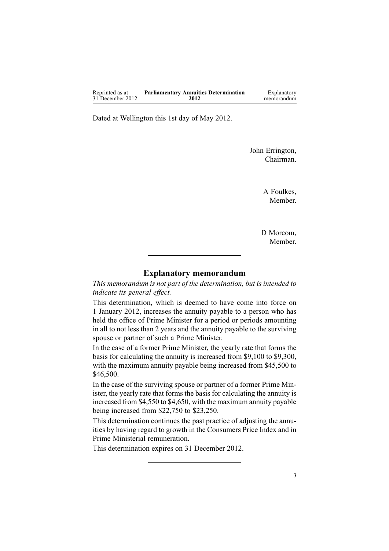| Reprinted as at  | <b>Parliamentary Annuities Determination</b> | Explanatory |
|------------------|----------------------------------------------|-------------|
| 31 December 2012 | 2012                                         | memorandum  |

Dated at Wellington this 1st day of May 2012.

John Errington, Chairman.

> A Foulkes, Member.

D Morcom, Member.

# **Explanatory memorandum**

*This memorandum is not par<sup>t</sup> of the determination, but is intended to indicate its general effect.*

This determination, which is deemed to have come into force on 1 January 2012, increases the annuity payable to <sup>a</sup> person who has held the office of Prime Minister for <sup>a</sup> period or periods amounting in all to not less than 2 years and the annuity payable to the surviving spouse or partner of such <sup>a</sup> Prime Minister.

In the case of <sup>a</sup> former Prime Minister, the yearly rate that forms the basis for calculating the annuity is increased from \$9,100 to \$9,300, with the maximum annuity payable being increased from \$45,500 to \$46,500.

In the case of the surviving spouse or partner of <sup>a</sup> former Prime Minister, the yearly rate that forms the basis for calculating the annuity is increased from \$4,550 to \$4,650, with the maximum annuity payable being increased from \$22,750 to \$23,250.

This determination continues the pas<sup>t</sup> practice of adjusting the annuities by having regard to growth in the Consumers Price Index and in Prime Ministerial remuneration.

This determination expires on 31 December 2012.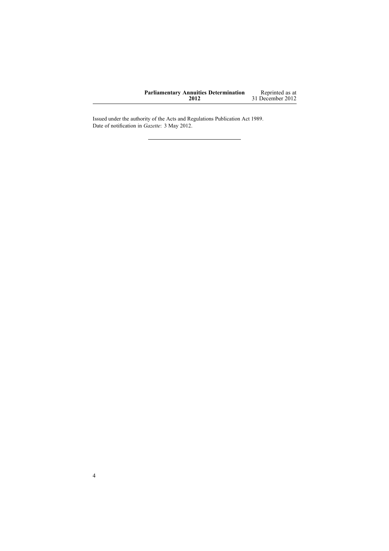| <b>Parliamentary Annuities Determination</b> | Reprinted as at  |
|----------------------------------------------|------------------|
| 2012                                         | 31 December 2012 |

Issued under the authority of the Acts and [Regulations](http://www.legislation.govt.nz/pdflink.aspx?id=DLM195097) Publication Act 1989. Date of notification in *Gazette*: 3 May 2012.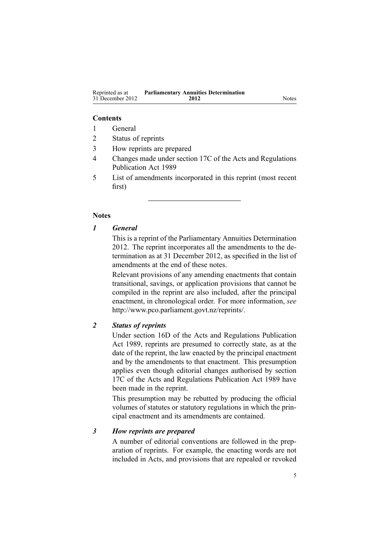#### **Contents**

- 1 General
- 2 Status of reprints
- 3 How reprints are prepared
- 4 Changes made under section 17C of the Acts and Regulations Publication Act 1989
- 5 List of amendments incorporated in this reprint (most recent first)

#### **Notes**

#### *1 General*

This is <sup>a</sup> reprint of the Parliamentary Annuities Determination 2012. The reprint incorporates all the amendments to the determination as at 31 December 2012, as specified in the list of amendments at the end of these notes.

Relevant provisions of any amending enactments that contain transitional, savings, or application provisions that cannot be compiled in the reprint are also included, after the principal enactment, in chronological order. For more information, *see* <http://www.pco.parliament.govt.nz/reprints/>.

#### *2 Status of reprints*

Under [section](http://www.legislation.govt.nz/pdflink.aspx?id=DLM195439) 16D of the Acts and Regulations Publication Act 1989, reprints are presumed to correctly state, as at the date of the reprint, the law enacted by the principal enactment and by the amendments to that enactment. This presumption applies even though editorial changes authorised by [section](http://www.legislation.govt.nz/pdflink.aspx?id=DLM195466) [17C](http://www.legislation.govt.nz/pdflink.aspx?id=DLM195466) of the Acts and Regulations Publication Act 1989 have been made in the reprint.

This presumption may be rebutted by producing the official volumes of statutes or statutory regulations in which the principal enactment and its amendments are contained.

#### *3 How reprints are prepared*

A number of editorial conventions are followed in the preparation of reprints. For example, the enacting words are not included in Acts, and provisions that are repealed or revoked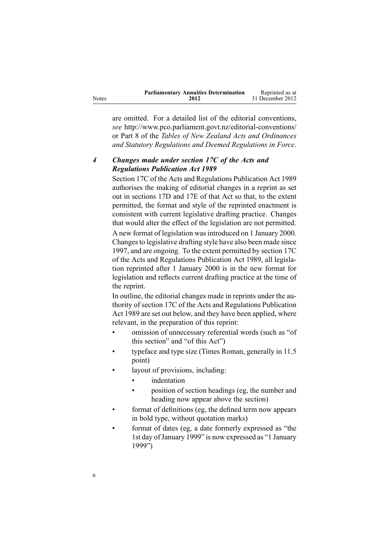|              | <b>Parliamentary Annuities Determination</b> | Reprinted as at  |
|--------------|----------------------------------------------|------------------|
| <b>Notes</b> | 2012                                         | 31 December 2012 |

are omitted. For <sup>a</sup> detailed list of the editorial conventions, *see* [http://www.pco.parliament.govt.nz/editorial-conventions/](http://www.pco.parliament.govt.nz/editorial-conventions/ ) or Part 8 of the *Tables of New Zealand Acts and Ordinances and Statutory Regulations and Deemed Regulations in Force*.

# *4 Changes made under section 17C of the Acts and Regulations Publication Act 1989*

[Section](http://www.legislation.govt.nz/pdflink.aspx?id=DLM195466) 17C of the Acts and Regulations Publication Act 1989 authorises the making of editorial changes in <sup>a</sup> reprint as set out in [sections](http://www.legislation.govt.nz/pdflink.aspx?id=DLM195468) 17D and [17E](http://www.legislation.govt.nz/pdflink.aspx?id=DLM195470) of that Act so that, to the extent permitted, the format and style of the reprinted enactment is consistent with current legislative drafting practice. Changes that would alter the effect of the legislation are not permitted.

A new format of legislation wasintroduced on 1 January 2000. Changesto legislative drafting style have also been made since 1997, and are ongoing. To the extent permitted by [section](http://www.legislation.govt.nz/pdflink.aspx?id=DLM195466) 17C of the Acts and Regulations Publication Act 1989, all legislation reprinted after 1 January 2000 is in the new format for legislation and reflects current drafting practice at the time of the reprint.

In outline, the editorial changes made in reprints under the authority of [section](http://www.legislation.govt.nz/pdflink.aspx?id=DLM195466) 17C of the Acts and Regulations Publication Act 1989 are set out below, and they have been applied, where relevant, in the preparation of this reprint:

- • omission of unnecessary referential words (such as "of this section" and "of this Act")
- • typeface and type size (Times Roman, generally in 11.5 point)
- • layout of provisions, including:
	- •indentation
	- • position of section headings (eg, the number and heading now appear above the section)
- • format of definitions (eg, the defined term now appears in bold type, without quotation marks)
- • format of dates (eg, <sup>a</sup> date formerly expressed as "the 1st day of January 1999" is now expressed as "1 January 1999")